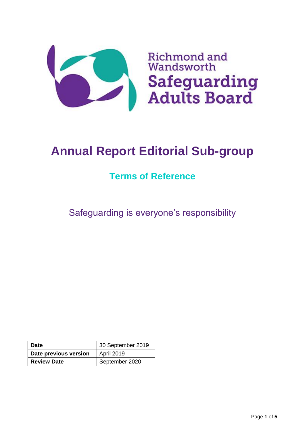

# **Annual Report Editorial Sub-group**

# **Terms of Reference**

Safeguarding is everyone's responsibility

| <b>Date</b>           | 30 September 2019 |
|-----------------------|-------------------|
| Date previous version | April 2019        |
| <b>Review Date</b>    | September 2020    |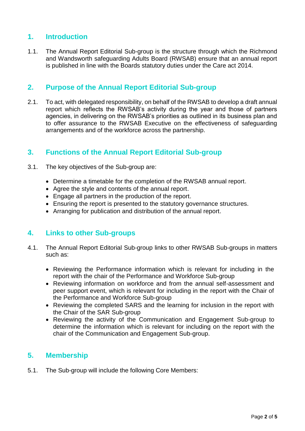## **1. Introduction**

1.1. The Annual Report Editorial Sub-group is the structure through which the Richmond and Wandsworth safeguarding Adults Board (RWSAB) ensure that an annual report is published in line with the Boards statutory duties under the Care act 2014.

#### **2. Purpose of the Annual Report Editorial Sub-group**

2.1. To act, with delegated responsibility, on behalf of the RWSAB to develop a draft annual report which reflects the RWSAB's activity during the year and those of partners agencies, in delivering on the RWSAB's priorities as outlined in its business plan and to offer assurance to the RWSAB Executive on the effectiveness of safeguarding arrangements and of the workforce across the partnership.

## **3. Functions of the Annual Report Editorial Sub-group**

- 3.1. The key objectives of the Sub-group are:
	- Determine a timetable for the completion of the RWSAB annual report.
	- Agree the style and contents of the annual report.
	- Engage all partners in the production of the report.
	- Ensuring the report is presented to the statutory governance structures.
	- Arranging for publication and distribution of the annual report.

#### **4. Links to other Sub-groups**

- 4.1. The Annual Report Editorial Sub-group links to other RWSAB Sub-groups in matters such as:
	- Reviewing the Performance information which is relevant for including in the report with the chair of the Performance and Workforce Sub-group
	- Reviewing information on workforce and from the annual self-assessment and peer support event, which is relevant for including in the report with the Chair of the Performance and Workforce Sub-group
	- Reviewing the completed SARS and the learning for inclusion in the report with the Chair of the SAR Sub-group
	- Reviewing the activity of the Communication and Engagement Sub-group to determine the information which is relevant for including on the report with the chair of the Communication and Engagement Sub-group.

#### **5. Membership**

5.1. The Sub-group will include the following Core Members: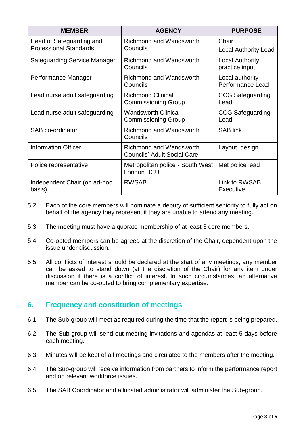| <b>MEMBER</b>                                             | <b>AGENCY</b>                                                        | <b>PURPOSE</b>                             |
|-----------------------------------------------------------|----------------------------------------------------------------------|--------------------------------------------|
| Head of Safeguarding and<br><b>Professional Standards</b> | <b>Richmond and Wandsworth</b><br>Councils                           | Chair<br><b>Local Authority Lead</b>       |
| <b>Safeguarding Service Manager</b>                       | <b>Richmond and Wandsworth</b><br>Councils                           | <b>Local Authority</b><br>practice input   |
| Performance Manager                                       | Richmond and Wandsworth<br>Councils                                  | Local authority<br><b>Performance Lead</b> |
| Lead nurse adult safeguarding                             | <b>Richmond Clinical</b><br><b>Commissioning Group</b>               | <b>CCG Safeguarding</b><br>Lead            |
| Lead nurse adult safeguarding                             | <b>Wandsworth Clinical</b><br><b>Commissioning Group</b>             | <b>CCG Safeguarding</b><br>Lead            |
| SAB co-ordinator                                          | <b>Richmond and Wandsworth</b><br>Councils                           | <b>SAB link</b>                            |
| <b>Information Officer</b>                                | <b>Richmond and Wandsworth</b><br><b>Councils' Adult Social Care</b> | Layout, design                             |
| Police representative                                     | Metropolitan police - South West<br>London BCU                       | Met police lead                            |
| Independent Chair (on ad-hoc<br>basis)                    | <b>RWSAB</b>                                                         | Link to RWSAB<br>Executive                 |

- 5.2. Each of the core members will nominate a deputy of sufficient seniority to fully act on behalf of the agency they represent if they are unable to attend any meeting.
- 5.3. The meeting must have a quorate membership of at least 3 core members.
- 5.4. Co-opted members can be agreed at the discretion of the Chair, dependent upon the issue under discussion.
- 5.5. All conflicts of interest should be declared at the start of any meetings; any member can be asked to stand down (at the discretion of the Chair) for any item under discussion if there is a conflict of interest. In such circumstances, an alternative member can be co-opted to bring complementary expertise.

#### **6. Frequency and constitution of meetings**

- 6.1. The Sub-group will meet as required during the time that the report is being prepared.
- 6.2. The Sub-group will send out meeting invitations and agendas at least 5 days before each meeting.
- 6.3. Minutes will be kept of all meetings and circulated to the members after the meeting.
- 6.4. The Sub-group will receive information from partners to inform the performance report and on relevant workforce issues.
- 6.5. The SAB Coordinator and allocated administrator will administer the Sub-group.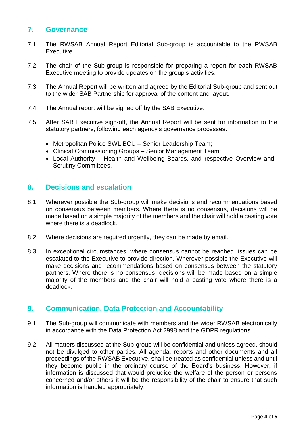#### **7. Governance**

- 7.1. The RWSAB Annual Report Editorial Sub-group is accountable to the RWSAB Executive.
- 7.2. The chair of the Sub-group is responsible for preparing a report for each RWSAB Executive meeting to provide updates on the group's activities.
- 7.3. The Annual Report will be written and agreed by the Editorial Sub-group and sent out to the wider SAB Partnership for approval of the content and layout.
- 7.4. The Annual report will be signed off by the SAB Executive.
- 7.5. After SAB Executive sign-off, the Annual Report will be sent for information to the statutory partners, following each agency's governance processes:
	- Metropolitan Police SWL BCU Senior Leadership Team;
	- Clinical Commissioning Groups Senior Management Team;
	- Local Authority Health and Wellbeing Boards, and respective Overview and Scrutiny Committees.

#### **8. Decisions and escalation**

- 8.1. Wherever possible the Sub-group will make decisions and recommendations based on consensus between members. Where there is no consensus, decisions will be made based on a simple majority of the members and the chair will hold a casting vote where there is a deadlock.
- 8.2. Where decisions are required urgently, they can be made by email.
- 8.3. In exceptional circumstances, where consensus cannot be reached, issues can be escalated to the Executive to provide direction. Wherever possible the Executive will make decisions and recommendations based on consensus between the statutory partners. Where there is no consensus, decisions will be made based on a simple majority of the members and the chair will hold a casting vote where there is a deadlock.

#### **9. Communication, Data Protection and Accountability**

- 9.1. The Sub-group will communicate with members and the wider RWSAB electronically in accordance with the Data Protection Act 2998 and the GDPR regulations.
- 9.2. All matters discussed at the Sub-group will be confidential and unless agreed, should not be divulged to other parties. All agenda, reports and other documents and all proceedings of the RWSAB Executive, shall be treated as confidential unless and until they become public in the ordinary course of the Board's business. However, if information is discussed that would prejudice the welfare of the person or persons concerned and/or others it will be the responsibility of the chair to ensure that such information is handled appropriately.